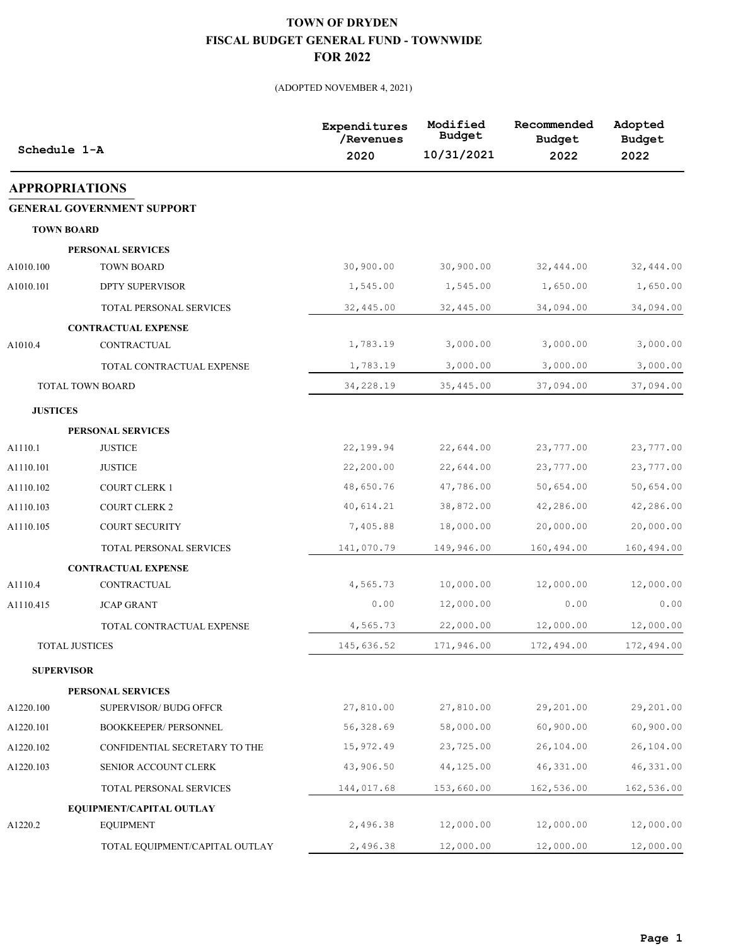| Schedule 1-A          |                                   | Expenditures<br>/Revenues<br>2020 | Modified<br><b>Budget</b><br>10/31/2021 | Recommended<br><b>Budget</b><br>2022 | Adopted<br><b>Budget</b><br>2022 |
|-----------------------|-----------------------------------|-----------------------------------|-----------------------------------------|--------------------------------------|----------------------------------|
| <b>APPROPRIATIONS</b> |                                   |                                   |                                         |                                      |                                  |
|                       | <b>GENERAL GOVERNMENT SUPPORT</b> |                                   |                                         |                                      |                                  |
| <b>TOWN BOARD</b>     |                                   |                                   |                                         |                                      |                                  |
|                       | PERSONAL SERVICES                 |                                   |                                         |                                      |                                  |
| A1010.100             | <b>TOWN BOARD</b>                 | 30,900.00                         | 30,900.00                               | 32,444.00                            | 32,444.00                        |
| A1010.101             | <b>DPTY SUPERVISOR</b>            | 1,545.00                          | 1,545.00                                | 1,650.00                             | 1,650.00                         |
|                       | TOTAL PERSONAL SERVICES           | 32,445.00                         | 32,445.00                               | 34,094.00                            | 34,094.00                        |
|                       | <b>CONTRACTUAL EXPENSE</b>        |                                   |                                         |                                      |                                  |
| A1010.4               | CONTRACTUAL                       | 1,783.19                          | 3,000.00                                | 3,000.00                             | 3,000.00                         |
|                       | TOTAL CONTRACTUAL EXPENSE         | 1,783.19                          | 3,000.00                                | 3,000.00                             | 3,000.00                         |
|                       | <b>TOTAL TOWN BOARD</b>           | 34,228.19                         | 35,445.00                               | 37,094.00                            | 37,094.00                        |
| <b>JUSTICES</b>       |                                   |                                   |                                         |                                      |                                  |
|                       | PERSONAL SERVICES                 |                                   |                                         |                                      |                                  |
| A1110.1               | <b>JUSTICE</b>                    | 22,199.94                         | 22,644.00                               | 23,777.00                            | 23,777.00                        |
| A1110.101             | <b>JUSTICE</b>                    | 22,200.00                         | 22,644.00                               | 23,777.00                            | 23,777.00                        |
| A1110.102             | <b>COURT CLERK 1</b>              | 48,650.76                         | 47,786.00                               | 50,654.00                            | 50,654.00                        |
| A1110.103             | <b>COURT CLERK 2</b>              | 40,614.21                         | 38,872.00                               | 42,286.00                            | 42,286.00                        |
| A1110.105             | <b>COURT SECURITY</b>             | 7,405.88                          | 18,000.00                               | 20,000.00                            | 20,000.00                        |
|                       | TOTAL PERSONAL SERVICES           | 141,070.79                        | 149,946.00                              | 160,494.00                           | 160,494.00                       |
|                       | <b>CONTRACTUAL EXPENSE</b>        |                                   |                                         |                                      |                                  |
| A1110.4               | <b>CONTRACTUAL</b>                | 4,565.73                          | 10,000.00                               | 12,000.00                            | 12,000.00                        |
| A1110.415             | <b>JCAP GRANT</b>                 | 0.00                              | 12,000.00                               | 0.00                                 | 0.00                             |
|                       | TOTAL CONTRACTUAL EXPENSE         | 4,565.73                          | 22,000.00                               | 12,000.00                            | 12,000.00                        |
|                       | <b>TOTAL JUSTICES</b>             | 145,636.52                        | 171,946.00                              | 172,494.00                           | 172,494.00                       |
| <b>SUPERVISOR</b>     |                                   |                                   |                                         |                                      |                                  |
|                       | PERSONAL SERVICES                 |                                   |                                         |                                      |                                  |
| A1220.100             | SUPERVISOR/ BUDG OFFCR            | 27,810.00                         | 27,810.00                               | 29,201.00                            | 29,201.00                        |
| A1220.101             | BOOKKEEPER/ PERSONNEL             | 56,328.69                         | 58,000.00                               | 60,900.00                            | 60,900.00                        |
| A1220.102             | CONFIDENTIAL SECRETARY TO THE     | 15,972.49                         | 23,725.00                               | 26,104.00                            | 26,104.00                        |
| A1220.103             | SENIOR ACCOUNT CLERK              | 43,906.50                         | 44,125.00                               | 46, 331.00                           | 46, 331.00                       |
|                       | TOTAL PERSONAL SERVICES           | 144,017.68                        | 153,660.00                              | 162,536.00                           | 162,536.00                       |
|                       | EQUIPMENT/CAPITAL OUTLAY          |                                   |                                         |                                      |                                  |
| A1220.2               | <b>EQUIPMENT</b>                  | 2,496.38                          | 12,000.00                               | 12,000.00                            | 12,000.00                        |
|                       | TOTAL EQUIPMENT/CAPITAL OUTLAY    | 2,496.38                          | 12,000.00                               | 12,000.00                            | 12,000.00                        |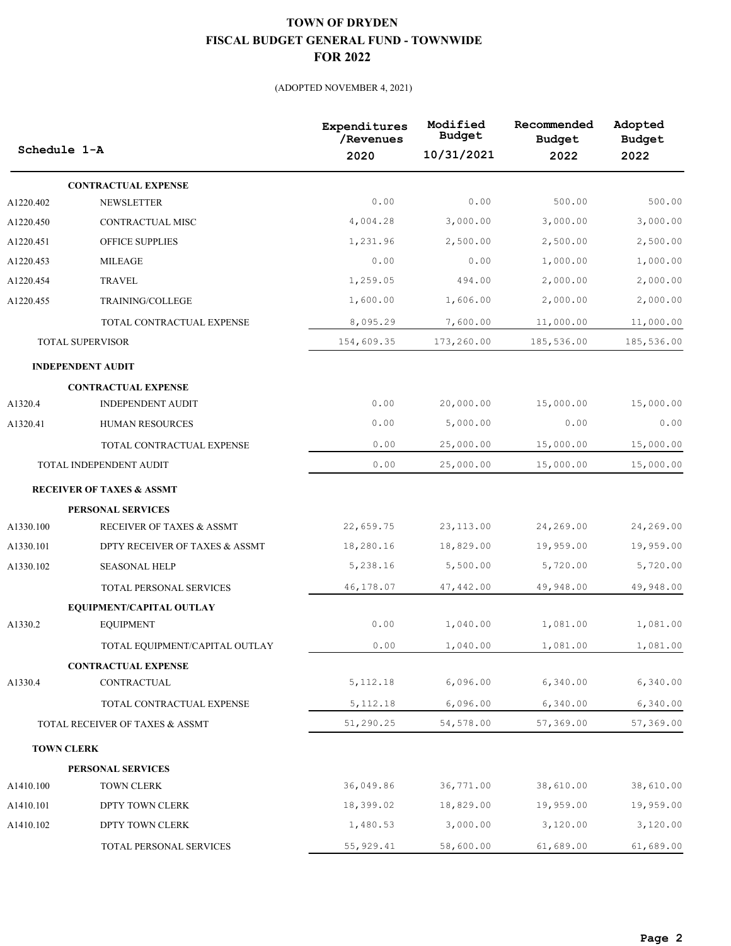| Schedule 1-A      |                                      | Expenditures<br>/Revenues | Modified<br>Budget | Recommended<br><b>Budget</b> | Adopted<br><b>Budget</b> |
|-------------------|--------------------------------------|---------------------------|--------------------|------------------------------|--------------------------|
|                   |                                      | 2020                      | 10/31/2021         | 2022                         | 2022                     |
|                   | <b>CONTRACTUAL EXPENSE</b>           |                           |                    |                              |                          |
| A1220.402         | <b>NEWSLETTER</b>                    | 0.00                      | 0.00               | 500.00                       | 500.00                   |
| A1220.450         | CONTRACTUAL MISC                     | 4,004.28                  | 3,000.00           | 3,000.00                     | 3,000.00                 |
| A1220.451         | OFFICE SUPPLIES                      | 1,231.96                  | 2,500.00           | 2,500.00                     | 2,500.00                 |
| A1220.453         | <b>MILEAGE</b>                       | 0.00                      | 0.00               | 1,000.00                     | 1,000.00                 |
| A1220.454         | <b>TRAVEL</b>                        | 1,259.05                  | 494.00             | 2,000.00                     | 2,000.00                 |
| A1220.455         | TRAINING/COLLEGE                     | 1,600.00                  | 1,606.00           | 2,000.00                     | 2,000.00                 |
|                   | TOTAL CONTRACTUAL EXPENSE            | 8,095.29                  | 7,600.00           | 11,000.00                    | 11,000.00                |
|                   | <b>TOTAL SUPERVISOR</b>              | 154,609.35                | 173,260.00         | 185,536.00                   | 185,536.00               |
|                   | <b>INDEPENDENT AUDIT</b>             |                           |                    |                              |                          |
|                   | <b>CONTRACTUAL EXPENSE</b>           |                           |                    |                              |                          |
| A1320.4           | <b>INDEPENDENT AUDIT</b>             | 0.00                      | 20,000.00          | 15,000.00                    | 15,000.00                |
| A1320.41          | HUMAN RESOURCES                      | 0.00                      | 5,000.00           | 0.00                         | 0.00                     |
|                   | TOTAL CONTRACTUAL EXPENSE            | 0.00                      | 25,000.00          | 15,000.00                    | 15,000.00                |
|                   | TOTAL INDEPENDENT AUDIT              | 0.00                      | 25,000.00          | 15,000.00                    | 15,000.00                |
|                   | <b>RECEIVER OF TAXES &amp; ASSMT</b> |                           |                    |                              |                          |
|                   | PERSONAL SERVICES                    |                           |                    |                              |                          |
| A1330.100         | RECEIVER OF TAXES & ASSMT            | 22,659.75                 | 23, 113.00         | 24,269.00                    | 24,269.00                |
| A1330.101         | DPTY RECEIVER OF TAXES & ASSMT       | 18,280.16                 | 18,829.00          | 19,959.00                    | 19,959.00                |
| A1330.102         | <b>SEASONAL HELP</b>                 | 5,238.16                  | 5,500.00           | 5,720.00                     | 5,720.00                 |
|                   | TOTAL PERSONAL SERVICES              | 46,178.07                 | 47,442.00          | 49,948.00                    | 49,948.00                |
|                   | EQUIPMENT/CAPITAL OUTLAY             |                           |                    |                              |                          |
| A1330.2           | <b>EQUIPMENT</b>                     | 0.00                      | 1,040.00           | 1,081.00                     | 1,081.00                 |
|                   | TOTAL EQUIPMENT/CAPITAL OUTLAY       | 0.00                      | 1,040.00           | 1,081.00                     | 1,081.00                 |
|                   | <b>CONTRACTUAL EXPENSE</b>           |                           |                    |                              |                          |
| A1330.4           | CONTRACTUAL                          | 5, 112.18                 | 6,096.00           | 6,340.00                     | 6,340.00                 |
|                   | TOTAL CONTRACTUAL EXPENSE            | 5, 112.18                 | 6,096.00           | 6,340.00                     | 6,340.00                 |
|                   | TOTAL RECEIVER OF TAXES & ASSMT      | 51,290.25                 | 54,578.00          | 57,369.00                    | 57,369.00                |
| <b>TOWN CLERK</b> |                                      |                           |                    |                              |                          |
|                   | PERSONAL SERVICES                    |                           |                    |                              |                          |
| A1410.100         | <b>TOWN CLERK</b>                    | 36,049.86                 | 36,771.00          | 38,610.00                    | 38,610.00                |
| A1410.101         | DPTY TOWN CLERK                      | 18,399.02                 | 18,829.00          | 19,959.00                    | 19,959.00                |
| A1410.102         | DPTY TOWN CLERK                      | 1,480.53                  | 3,000.00           | 3,120.00                     | 3,120.00                 |
|                   | TOTAL PERSONAL SERVICES              | 55, 929.41                | 58,600.00          | 61,689.00                    | 61,689.00                |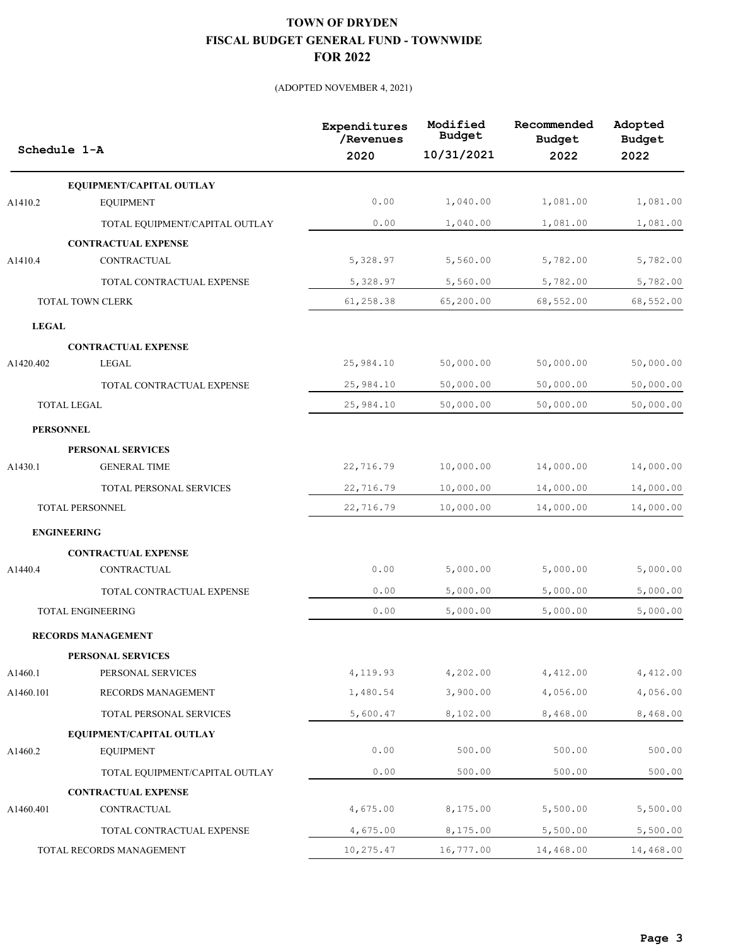|              | Schedule 1-A                                 | Expenditures<br>/Revenues<br>2020 | Modified<br><b>Budget</b><br>10/31/2021 | Recommended<br><b>Budget</b><br>2022 | Adopted<br><b>Budget</b><br>2022 |
|--------------|----------------------------------------------|-----------------------------------|-----------------------------------------|--------------------------------------|----------------------------------|
|              |                                              |                                   |                                         |                                      |                                  |
| A1410.2      | EQUIPMENT/CAPITAL OUTLAY<br><b>EQUIPMENT</b> | 0.00                              | 1,040.00                                | 1,081.00                             | 1,081.00                         |
|              |                                              | 0.00                              | 1,040.00                                | 1,081.00                             | 1,081.00                         |
|              | TOTAL EQUIPMENT/CAPITAL OUTLAY               |                                   |                                         |                                      |                                  |
| A1410.4      | <b>CONTRACTUAL EXPENSE</b><br>CONTRACTUAL    | 5,328.97                          | 5,560.00                                | 5,782.00                             | 5,782.00                         |
|              | TOTAL CONTRACTUAL EXPENSE                    | 5,328.97                          | 5,560.00                                | 5,782.00                             | 5,782.00                         |
|              | TOTAL TOWN CLERK                             | 61,258.38                         | 65,200.00                               | 68,552.00                            | 68,552.00                        |
|              |                                              |                                   |                                         |                                      |                                  |
| <b>LEGAL</b> |                                              |                                   |                                         |                                      |                                  |
| A1420.402    | <b>CONTRACTUAL EXPENSE</b><br>LEGAL          | 25,984.10                         | 50,000.00                               | 50,000.00                            | 50,000.00                        |
|              | TOTAL CONTRACTUAL EXPENSE                    | 25,984.10                         | 50,000.00                               | 50,000.00                            | 50,000.00                        |
|              | <b>TOTAL LEGAL</b>                           | 25,984.10                         | 50,000.00                               | 50,000.00                            | 50,000.00                        |
|              |                                              |                                   |                                         |                                      |                                  |
|              | <b>PERSONNEL</b>                             |                                   |                                         |                                      |                                  |
| A1430.1      | PERSONAL SERVICES<br><b>GENERAL TIME</b>     | 22,716.79                         | 10,000.00                               | 14,000.00                            | 14,000.00                        |
|              |                                              |                                   |                                         |                                      |                                  |
|              | TOTAL PERSONAL SERVICES                      | 22,716.79                         | 10,000.00                               | 14,000.00                            | 14,000.00                        |
|              | TOTAL PERSONNEL                              | 22,716.79                         | 10,000.00                               | 14,000.00                            | 14,000.00                        |
|              | <b>ENGINEERING</b>                           |                                   |                                         |                                      |                                  |
|              | <b>CONTRACTUAL EXPENSE</b>                   |                                   |                                         |                                      |                                  |
| A1440.4      | CONTRACTUAL                                  | 0.00                              | 5,000.00                                | 5,000.00                             | 5,000.00                         |
|              | TOTAL CONTRACTUAL EXPENSE                    | 0.00                              | 5,000.00                                | 5,000.00                             | 5,000.00                         |
|              | TOTAL ENGINEERING                            | 0.00                              | 5,000.00                                | 5,000.00                             | 5,000.00                         |
|              | <b>RECORDS MANAGEMENT</b>                    |                                   |                                         |                                      |                                  |
|              | PERSONAL SERVICES                            |                                   |                                         |                                      |                                  |
| A1460.1      | PERSONAL SERVICES                            | 4,119.93                          | 4,202.00                                | 4,412.00                             | 4,412.00                         |
| A1460.101    | RECORDS MANAGEMENT                           | 1,480.54                          | 3,900.00                                | 4,056.00                             | 4,056.00                         |
|              | TOTAL PERSONAL SERVICES                      | 5,600.47                          | 8,102.00                                | 8,468.00                             | 8,468.00                         |
|              | EQUIPMENT/CAPITAL OUTLAY                     |                                   |                                         |                                      |                                  |
| A1460.2      | <b>EQUIPMENT</b>                             | 0.00                              | 500.00                                  | 500.00                               | 500.00                           |
|              | TOTAL EQUIPMENT/CAPITAL OUTLAY               | 0.00                              | 500.00                                  | 500.00                               | 500.00                           |
|              | <b>CONTRACTUAL EXPENSE</b>                   |                                   |                                         |                                      |                                  |
| A1460.401    | CONTRACTUAL                                  | 4,675.00                          | 8,175.00                                | 5,500.00                             | 5,500.00                         |
|              | TOTAL CONTRACTUAL EXPENSE                    | 4,675.00                          | 8,175.00                                | 5,500.00                             | 5,500.00                         |
|              | TOTAL RECORDS MANAGEMENT                     | 10,275.47                         | 16,777.00                               | 14,468.00                            | 14,468.00                        |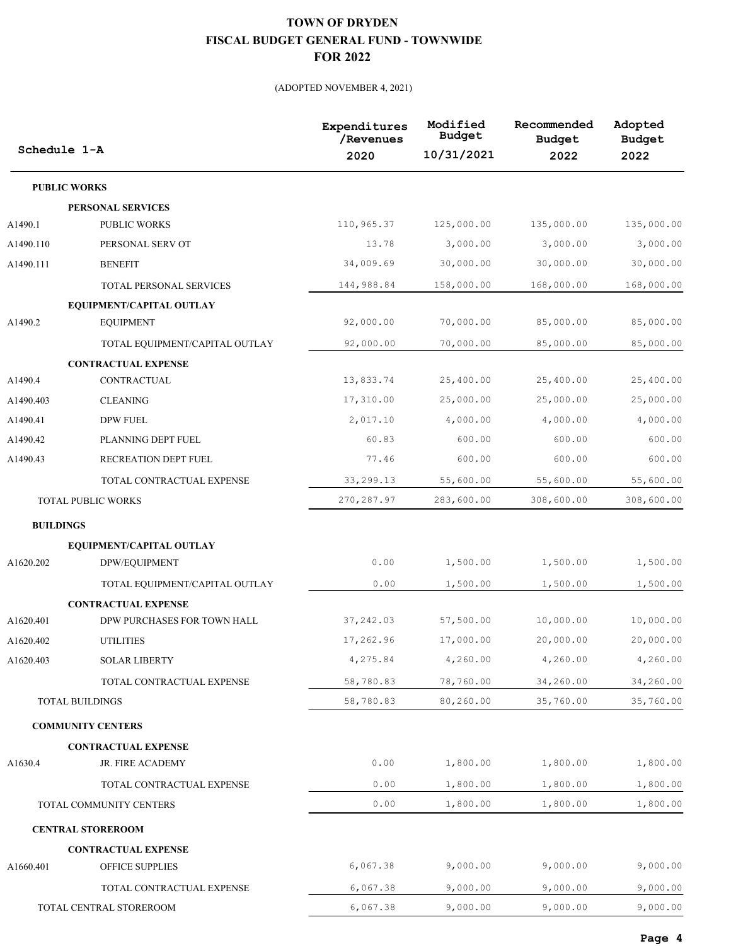| Schedule 1-A     |                                | Expenditures<br>/Revenues<br>2020 | Modified<br>Budget<br>10/31/2021 | Recommended<br><b>Budget</b><br>2022 | Adopted<br><b>Budget</b><br>2022 |
|------------------|--------------------------------|-----------------------------------|----------------------------------|--------------------------------------|----------------------------------|
|                  | <b>PUBLIC WORKS</b>            |                                   |                                  |                                      |                                  |
|                  | PERSONAL SERVICES              |                                   |                                  |                                      |                                  |
| A1490.1          | <b>PUBLIC WORKS</b>            | 110,965.37                        | 125,000.00                       | 135,000.00                           | 135,000.00                       |
| A1490.110        | PERSONAL SERV OT               | 13.78                             | 3,000.00                         | 3,000.00                             | 3,000.00                         |
| A1490.111        | <b>BENEFIT</b>                 | 34,009.69                         | 30,000.00                        | 30,000.00                            | 30,000.00                        |
|                  | <b>TOTAL PERSONAL SERVICES</b> | 144,988.84                        | 158,000.00                       | 168,000.00                           | 168,000.00                       |
|                  | EQUIPMENT/CAPITAL OUTLAY       |                                   |                                  |                                      |                                  |
| A1490.2          | <b>EQUIPMENT</b>               | 92,000.00                         | 70,000.00                        | 85,000.00                            | 85,000.00                        |
|                  | TOTAL EQUIPMENT/CAPITAL OUTLAY | 92,000.00                         | 70,000.00                        | 85,000.00                            | 85,000.00                        |
|                  | <b>CONTRACTUAL EXPENSE</b>     |                                   |                                  |                                      |                                  |
| A1490.4          | <b>CONTRACTUAL</b>             | 13,833.74                         | 25,400.00                        | 25,400.00                            | 25,400.00                        |
| A1490.403        | <b>CLEANING</b>                | 17,310.00                         | 25,000.00                        | 25,000.00                            | 25,000.00                        |
| A1490.41         | <b>DPW FUEL</b>                | 2,017.10                          | 4,000.00                         | 4,000.00                             | 4,000.00                         |
| A1490.42         | PLANNING DEPT FUEL             | 60.83                             | 600.00                           | 600.00                               | 600.00                           |
| A1490.43         | RECREATION DEPT FUEL           | 77.46                             | 600.00                           | 600.00                               | 600.00                           |
|                  | TOTAL CONTRACTUAL EXPENSE      | 33,299.13                         | 55,600.00                        | 55,600.00                            | 55,600.00                        |
|                  | <b>TOTAL PUBLIC WORKS</b>      | 270, 287.97                       | 283,600.00                       | 308,600.00                           | 308,600.00                       |
| <b>BUILDINGS</b> |                                |                                   |                                  |                                      |                                  |
|                  | EQUIPMENT/CAPITAL OUTLAY       |                                   |                                  |                                      |                                  |
| A1620.202        | DPW/EQUIPMENT                  | 0.00                              | 1,500.00                         | 1,500.00                             | 1,500.00                         |
|                  | TOTAL EQUIPMENT/CAPITAL OUTLAY | 0.00                              | 1,500.00                         | 1,500.00                             | 1,500.00                         |
|                  | <b>CONTRACTUAL EXPENSE</b>     |                                   |                                  |                                      |                                  |
| A1620.401        | DPW PURCHASES FOR TOWN HALL    | 37,242.03                         | 57,500.00                        | 10,000.00                            | 10,000.00                        |
| A1620.402        | <b>UTILITIES</b>               | 17,262.96                         | 17,000.00                        | 20,000.00                            | 20,000.00                        |
| A1620.403        | <b>SOLAR LIBERTY</b>           | 4,275.84                          | 4,260.00                         | 4,260.00                             | 4,260.00                         |
|                  | TOTAL CONTRACTUAL EXPENSE      | 58,780.83                         | 78,760.00                        | 34,260.00                            | 34,260.00                        |
|                  | <b>TOTAL BUILDINGS</b>         | 58,780.83                         | 80,260.00                        | 35,760.00                            | 35,760.00                        |
|                  | <b>COMMUNITY CENTERS</b>       |                                   |                                  |                                      |                                  |
|                  | <b>CONTRACTUAL EXPENSE</b>     |                                   |                                  |                                      |                                  |
| A1630.4          | JR. FIRE ACADEMY               | 0.00                              | 1,800.00                         | 1,800.00                             | 1,800.00                         |
|                  | TOTAL CONTRACTUAL EXPENSE      | 0.00                              | 1,800.00                         | 1,800.00                             | 1,800.00                         |
|                  | TOTAL COMMUNITY CENTERS        | 0.00                              | 1,800.00                         | 1,800.00                             | 1,800.00                         |
|                  | <b>CENTRAL STOREROOM</b>       |                                   |                                  |                                      |                                  |
|                  | <b>CONTRACTUAL EXPENSE</b>     |                                   |                                  |                                      |                                  |
| A1660.401        | OFFICE SUPPLIES                | 6,067.38                          | 9,000.00                         | 9,000.00                             | 9,000.00                         |
|                  | TOTAL CONTRACTUAL EXPENSE      | 6,067.38                          | 9,000.00                         | 9,000.00                             | 9,000.00                         |
|                  | TOTAL CENTRAL STOREROOM        | 6,067.38                          | 9,000.00                         | 9,000.00                             | 9,000.00                         |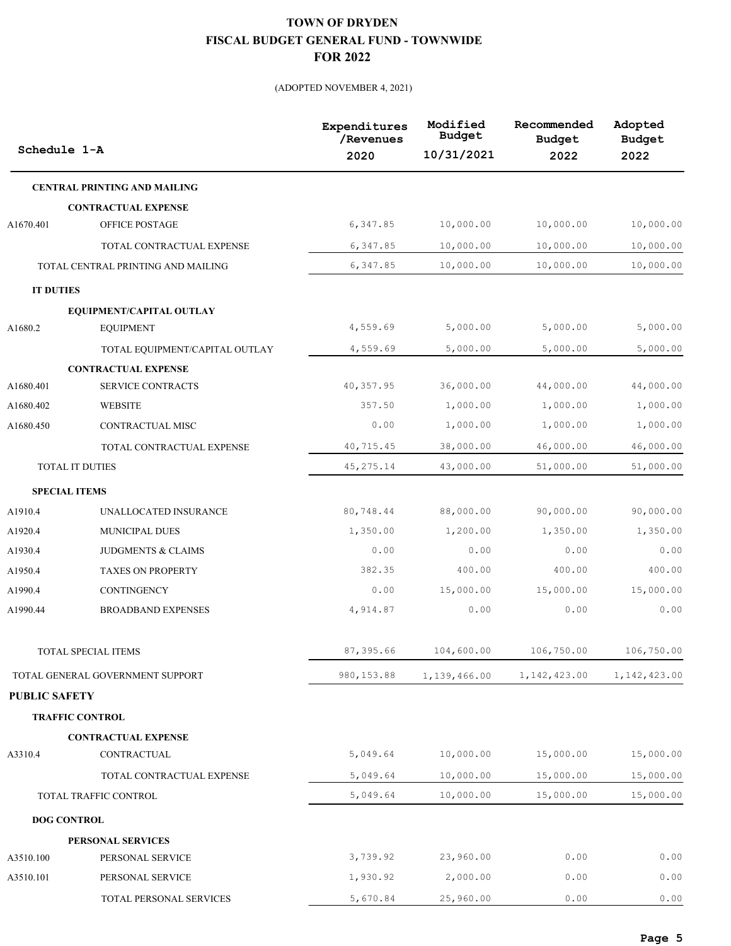| Schedule 1-A         |                                     | Expenditures<br>/Revenues<br>2020 | Modified<br><b>Budget</b><br>10/31/2021 | Recommended<br><b>Budget</b><br>2022 | Adopted<br><b>Budget</b><br>2022 |
|----------------------|-------------------------------------|-----------------------------------|-----------------------------------------|--------------------------------------|----------------------------------|
|                      | <b>CENTRAL PRINTING AND MAILING</b> |                                   |                                         |                                      |                                  |
|                      | <b>CONTRACTUAL EXPENSE</b>          |                                   |                                         |                                      |                                  |
| A1670.401            | OFFICE POSTAGE                      | 6,347.85                          | 10,000.00                               | 10,000.00                            | 10,000.00                        |
|                      | TOTAL CONTRACTUAL EXPENSE           | 6,347.85                          | 10,000.00                               | 10,000.00                            | 10,000.00                        |
|                      | TOTAL CENTRAL PRINTING AND MAILING  | 6,347.85                          | 10,000.00                               | 10,000.00                            | 10,000.00                        |
| <b>IT DUTIES</b>     |                                     |                                   |                                         |                                      |                                  |
|                      | EQUIPMENT/CAPITAL OUTLAY            |                                   |                                         |                                      |                                  |
| A1680.2              | <b>EQUIPMENT</b>                    | 4,559.69                          | 5,000.00                                | 5,000.00                             | 5,000.00                         |
|                      | TOTAL EQUIPMENT/CAPITAL OUTLAY      | 4,559.69                          | 5,000.00                                | 5,000.00                             | 5,000.00                         |
|                      | <b>CONTRACTUAL EXPENSE</b>          |                                   |                                         |                                      |                                  |
| A1680.401            | SERVICE CONTRACTS                   | 40,357.95                         | 36,000.00                               | 44,000.00                            | 44,000.00                        |
| A1680.402            | <b>WEBSITE</b>                      | 357.50                            | 1,000.00                                | 1,000.00                             | 1,000.00                         |
| A1680.450            | CONTRACTUAL MISC                    | 0.00                              | 1,000.00                                | 1,000.00                             | 1,000.00                         |
|                      | TOTAL CONTRACTUAL EXPENSE           | 40,715.45                         | 38,000.00                               | 46,000.00                            | 46,000.00                        |
|                      | TOTAL IT DUTIES                     | 45, 275. 14                       | 43,000.00                               | 51,000.00                            | 51,000.00                        |
| <b>SPECIAL ITEMS</b> |                                     |                                   |                                         |                                      |                                  |
| A1910.4              | UNALLOCATED INSURANCE               | 80,748.44                         | 88,000.00                               | 90,000.00                            | 90,000.00                        |
| A1920.4              | MUNICIPAL DUES                      | 1,350.00                          | 1,200.00                                | 1,350.00                             | 1,350.00                         |
| A1930.4              | JUDGMENTS & CLAIMS                  | 0.00                              | 0.00                                    | 0.00                                 | 0.00                             |
| A1950.4              | <b>TAXES ON PROPERTY</b>            | 382.35                            | 400.00                                  | 400.00                               | 400.00                           |
| A1990.4              | CONTINGENCY                         | 0.00                              | 15,000.00                               | 15,000.00                            | 15,000.00                        |
| A1990.44             | <b>BROADBAND EXPENSES</b>           | 4,914.87                          | 0.00                                    | 0.00                                 | 0.00                             |
|                      | TOTAL SPECIAL ITEMS                 | 87,395.66                         | 104,600.00                              | 106,750.00                           | 106,750.00                       |
|                      | TOTAL GENERAL GOVERNMENT SUPPORT    | 980, 153.88                       | 1,139,466.00                            | 1, 142, 423.00                       | 1, 142, 423.00                   |
| <b>PUBLIC SAFETY</b> |                                     |                                   |                                         |                                      |                                  |
|                      | <b>TRAFFIC CONTROL</b>              |                                   |                                         |                                      |                                  |
|                      | <b>CONTRACTUAL EXPENSE</b>          |                                   |                                         |                                      |                                  |
| A3310.4              | CONTRACTUAL                         | 5,049.64                          | 10,000.00                               | 15,000.00                            | 15,000.00                        |
|                      | TOTAL CONTRACTUAL EXPENSE           | 5,049.64                          | 10,000.00                               | 15,000.00                            | 15,000.00                        |
|                      | TOTAL TRAFFIC CONTROL               | 5,049.64                          | 10,000.00                               | 15,000.00                            | 15,000.00                        |
| <b>DOG CONTROL</b>   |                                     |                                   |                                         |                                      |                                  |
|                      | PERSONAL SERVICES                   |                                   |                                         |                                      |                                  |
| A3510.100            | PERSONAL SERVICE                    | 3,739.92                          | 23,960.00                               | 0.00                                 | 0.00                             |
| A3510.101            | PERSONAL SERVICE                    | 1,930.92                          | 2,000.00                                | 0.00                                 | 0.00                             |
|                      | TOTAL PERSONAL SERVICES             | 5,670.84                          | 25,960.00                               | 0.00                                 | 0.00                             |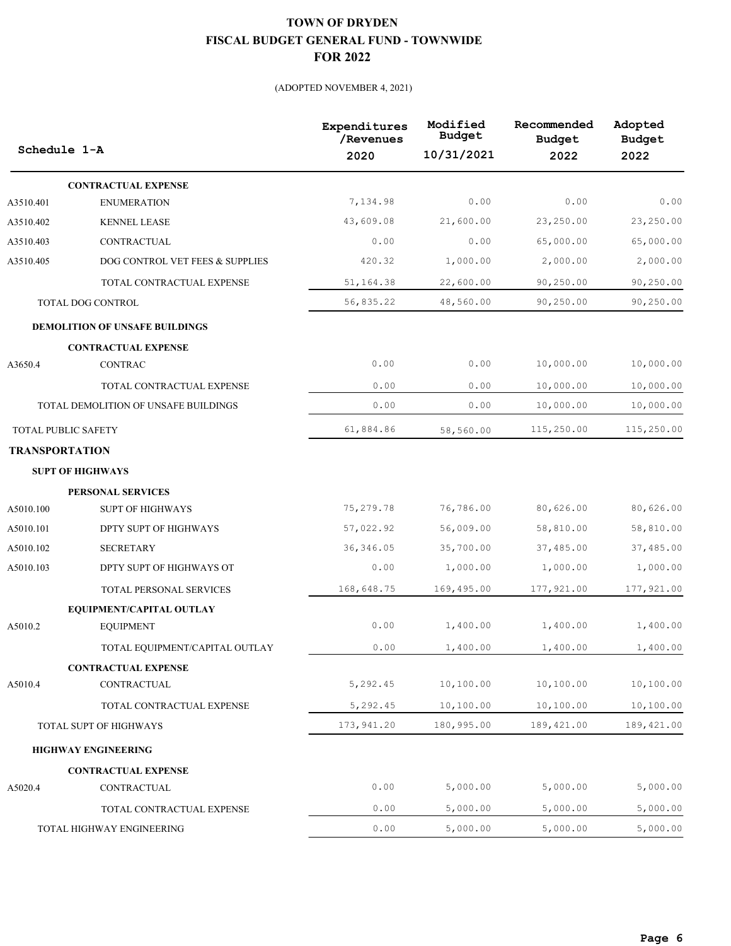| Schedule 1-A          |                                      | Expenditures<br>/Revenues<br>2020 | Modified<br>Budget<br>10/31/2021 | Recommended<br><b>Budget</b><br>2022 | Adopted<br><b>Budget</b><br>2022 |
|-----------------------|--------------------------------------|-----------------------------------|----------------------------------|--------------------------------------|----------------------------------|
|                       | <b>CONTRACTUAL EXPENSE</b>           |                                   |                                  |                                      |                                  |
| A3510.401             | <b>ENUMERATION</b>                   | 7,134.98                          | 0.00                             | 0.00                                 | 0.00                             |
| A3510.402             | <b>KENNEL LEASE</b>                  | 43,609.08                         | 21,600.00                        | 23,250.00                            | 23,250.00                        |
| A3510.403             | CONTRACTUAL                          | 0.00                              | 0.00                             | 65,000.00                            | 65,000.00                        |
| A3510.405             | DOG CONTROL VET FEES & SUPPLIES      | 420.32                            | 1,000.00                         | 2,000.00                             | 2,000.00                         |
|                       | TOTAL CONTRACTUAL EXPENSE            | 51,164.38                         | 22,600.00                        | 90,250.00                            | 90,250.00                        |
|                       | TOTAL DOG CONTROL                    | 56,835.22                         | 48,560.00                        | 90,250.00                            | 90,250.00                        |
|                       | DEMOLITION OF UNSAFE BUILDINGS       |                                   |                                  |                                      |                                  |
|                       | <b>CONTRACTUAL EXPENSE</b>           |                                   |                                  |                                      |                                  |
| A3650.4               | <b>CONTRAC</b>                       | 0.00                              | 0.00                             | 10,000.00                            | 10,000.00                        |
|                       | TOTAL CONTRACTUAL EXPENSE            | 0.00                              | 0.00                             | 10,000.00                            | 10,000.00                        |
|                       | TOTAL DEMOLITION OF UNSAFE BUILDINGS | 0.00                              | 0.00                             | 10,000.00                            | 10,000.00                        |
|                       | <b>TOTAL PUBLIC SAFETY</b>           | 61,884.86                         | 58,560.00                        | 115,250.00                           | 115,250.00                       |
| <b>TRANSPORTATION</b> |                                      |                                   |                                  |                                      |                                  |
|                       | <b>SUPT OF HIGHWAYS</b>              |                                   |                                  |                                      |                                  |
|                       | PERSONAL SERVICES                    |                                   |                                  |                                      |                                  |
| A5010.100             | <b>SUPT OF HIGHWAYS</b>              | 75,279.78                         | 76,786.00                        | 80,626.00                            | 80,626.00                        |
| A5010.101             | DPTY SUPT OF HIGHWAYS                | 57,022.92                         | 56,009.00                        | 58,810.00                            | 58,810.00                        |
| A5010.102             | <b>SECRETARY</b>                     | 36, 346.05                        | 35,700.00                        | 37,485.00                            | 37,485.00                        |
| A5010.103             | DPTY SUPT OF HIGHWAYS OT             | 0.00                              | 1,000.00                         | 1,000.00                             | 1,000.00                         |
|                       | TOTAL PERSONAL SERVICES              | 168,648.75                        | 169,495.00                       | 177,921.00                           | 177,921.00                       |
|                       | EQUIPMENT/CAPITAL OUTLAY             |                                   |                                  |                                      |                                  |
| A5010.2               | <b>EQUIPMENT</b>                     | 0.00                              | 1,400.00                         | 1,400.00                             | 1,400.00                         |
|                       | TOTAL EQUIPMENT/CAPITAL OUTLAY       | 0.00                              | 1,400.00                         | 1,400.00                             | 1,400.00                         |
|                       | <b>CONTRACTUAL EXPENSE</b>           |                                   |                                  |                                      |                                  |
| A5010.4               | CONTRACTUAL                          | 5,292.45                          | 10,100.00                        | 10,100.00                            | 10,100.00                        |
|                       | TOTAL CONTRACTUAL EXPENSE            | 5,292.45                          | 10,100.00                        | 10,100.00                            | 10,100.00                        |
|                       | TOTAL SUPT OF HIGHWAYS               | 173,941.20                        | 180,995.00                       | 189, 421.00                          | 189, 421.00                      |
|                       | <b>HIGHWAY ENGINEERING</b>           |                                   |                                  |                                      |                                  |
|                       | <b>CONTRACTUAL EXPENSE</b>           |                                   |                                  |                                      |                                  |
| A5020.4               | CONTRACTUAL                          | 0.00                              | 5,000.00                         | 5,000.00                             | 5,000.00                         |
|                       | TOTAL CONTRACTUAL EXPENSE            | 0.00                              | 5,000.00                         | 5,000.00                             | 5,000.00                         |
|                       | TOTAL HIGHWAY ENGINEERING            | 0.00                              | 5,000.00                         | 5,000.00                             | 5,000.00                         |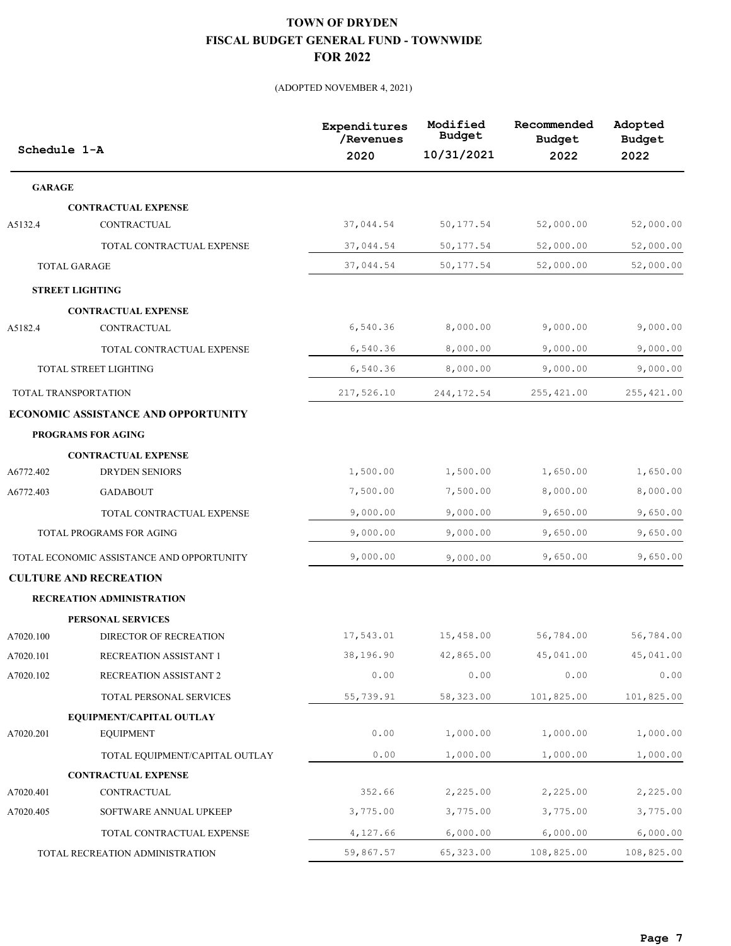| Schedule 1-A  |                                           | Expenditures<br>/Revenues<br>2020 | Modified<br><b>Budget</b><br>10/31/2021 | Recommended<br><b>Budget</b><br>2022 | Adopted<br><b>Budget</b><br>2022 |
|---------------|-------------------------------------------|-----------------------------------|-----------------------------------------|--------------------------------------|----------------------------------|
| <b>GARAGE</b> |                                           |                                   |                                         |                                      |                                  |
|               | <b>CONTRACTUAL EXPENSE</b>                |                                   |                                         |                                      |                                  |
| A5132.4       | CONTRACTUAL                               | 37,044.54                         | 50, 177.54                              | 52,000.00                            | 52,000.00                        |
|               | TOTAL CONTRACTUAL EXPENSE                 | 37,044.54                         | 50, 177.54                              | 52,000.00                            | 52,000.00                        |
|               | <b>TOTAL GARAGE</b>                       | 37,044.54                         | 50, 177.54                              | 52,000.00                            | 52,000.00                        |
|               | <b>STREET LIGHTING</b>                    |                                   |                                         |                                      |                                  |
|               | <b>CONTRACTUAL EXPENSE</b>                |                                   |                                         |                                      |                                  |
| A5182.4       | CONTRACTUAL                               | 6,540.36                          | 8,000.00                                | 9,000.00                             | 9,000.00                         |
|               | TOTAL CONTRACTUAL EXPENSE                 | 6,540.36                          | 8,000.00                                | 9,000.00                             | 9,000.00                         |
|               | TOTAL STREET LIGHTING                     | 6,540.36                          | 8,000.00                                | 9,000.00                             | 9,000.00                         |
|               | TOTAL TRANSPORTATION                      | 217,526.10                        | 244, 172.54                             | 255,421.00                           | 255, 421.00                      |
|               | ECONOMIC ASSISTANCE AND OPPORTUNITY       |                                   |                                         |                                      |                                  |
|               | PROGRAMS FOR AGING                        |                                   |                                         |                                      |                                  |
|               | <b>CONTRACTUAL EXPENSE</b>                |                                   |                                         |                                      |                                  |
| A6772.402     | <b>DRYDEN SENIORS</b>                     | 1,500.00                          | 1,500.00                                | 1,650.00                             | 1,650.00                         |
| A6772.403     | <b>GADABOUT</b>                           | 7,500.00                          | 7,500.00                                | 8,000.00                             | 8,000.00                         |
|               | TOTAL CONTRACTUAL EXPENSE                 | 9,000.00                          | 9,000.00                                | 9,650.00                             | 9,650.00                         |
|               | TOTAL PROGRAMS FOR AGING                  | 9,000.00                          | 9,000.00                                | 9,650.00                             | 9,650.00                         |
|               | TOTAL ECONOMIC ASSISTANCE AND OPPORTUNITY | 9,000.00                          | 9,000.00                                | 9,650.00                             | 9,650.00                         |
|               | <b>CULTURE AND RECREATION</b>             |                                   |                                         |                                      |                                  |
|               | RECREATION ADMINISTRATION                 |                                   |                                         |                                      |                                  |
|               | PERSONAL SERVICES                         |                                   |                                         |                                      |                                  |
| A7020.100     | DIRECTOR OF RECREATION                    | 17,543.01                         | 15,458.00                               | 56,784.00                            | 56,784.00                        |
| A7020.101     | RECREATION ASSISTANT 1                    | 38,196.90                         | 42,865.00                               | 45,041.00                            | 45,041.00                        |
| A7020.102     | RECREATION ASSISTANT 2                    | 0.00                              | 0.00                                    | 0.00                                 | 0.00                             |
|               | TOTAL PERSONAL SERVICES                   | 55,739.91                         | 58,323.00                               | 101,825.00                           | 101,825.00                       |
|               | EQUIPMENT/CAPITAL OUTLAY                  |                                   |                                         |                                      |                                  |
| A7020.201     | <b>EQUIPMENT</b>                          | 0.00                              | 1,000.00                                | 1,000.00                             | 1,000.00                         |
|               | TOTAL EQUIPMENT/CAPITAL OUTLAY            | 0.00                              | 1,000.00                                | 1,000.00                             | 1,000.00                         |
|               | <b>CONTRACTUAL EXPENSE</b>                |                                   |                                         |                                      |                                  |
| A7020.401     | CONTRACTUAL                               | 352.66                            | 2,225.00                                | 2,225.00                             | 2,225.00                         |
| A7020.405     | SOFTWARE ANNUAL UPKEEP                    | 3,775.00                          | 3,775.00                                | 3,775.00                             | 3,775.00                         |
|               | TOTAL CONTRACTUAL EXPENSE                 | 4,127.66                          | 6,000.00                                | 6,000.00                             | 6,000.00                         |
|               | TOTAL RECREATION ADMINISTRATION           | 59,867.57                         | 65, 323.00                              | 108,825.00                           | 108,825.00                       |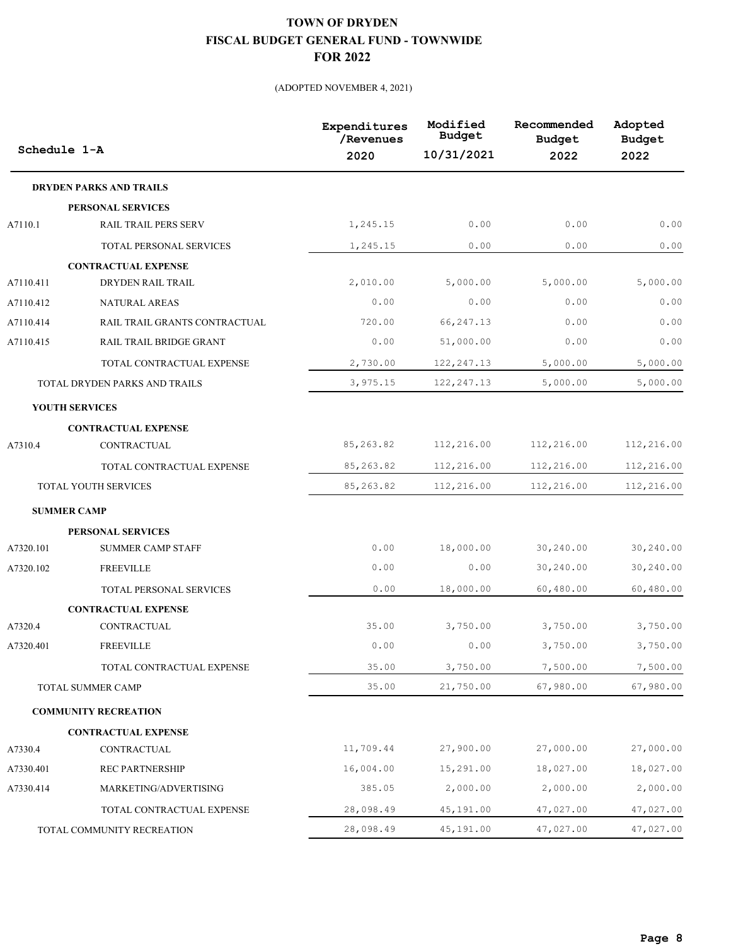|           | Schedule 1-A                   | Expenditures<br>/Revenues<br>2020 | Modified<br><b>Budget</b><br>10/31/2021 | Recommended<br><b>Budget</b><br>2022 | Adopted<br><b>Budget</b><br>2022 |
|-----------|--------------------------------|-----------------------------------|-----------------------------------------|--------------------------------------|----------------------------------|
|           | <b>DRYDEN PARKS AND TRAILS</b> |                                   |                                         |                                      |                                  |
|           | PERSONAL SERVICES              |                                   |                                         |                                      |                                  |
| A7110.1   | RAIL TRAIL PERS SERV           | 1,245.15                          | 0.00                                    | 0.00                                 | 0.00                             |
|           | TOTAL PERSONAL SERVICES        | 1,245.15                          | 0.00                                    | 0.00                                 | 0.00                             |
|           | <b>CONTRACTUAL EXPENSE</b>     |                                   |                                         |                                      |                                  |
| A7110.411 | DRYDEN RAIL TRAIL              | 2,010.00                          | 5,000.00                                | 5,000.00                             | 5,000.00                         |
| A7110.412 | NATURAL AREAS                  | 0.00                              | 0.00                                    | 0.00                                 | 0.00                             |
| A7110.414 | RAIL TRAIL GRANTS CONTRACTUAL  | 720.00                            | 66, 247.13                              | 0.00                                 | 0.00                             |
| A7110.415 | RAIL TRAIL BRIDGE GRANT        | 0.00                              | 51,000.00                               | 0.00                                 | 0.00                             |
|           | TOTAL CONTRACTUAL EXPENSE      | 2,730.00                          | 122, 247.13                             | 5,000.00                             | 5,000.00                         |
|           | TOTAL DRYDEN PARKS AND TRAILS  | 3,975.15                          | 122, 247.13                             | 5,000.00                             | 5,000.00                         |
|           | <b>YOUTH SERVICES</b>          |                                   |                                         |                                      |                                  |
|           | <b>CONTRACTUAL EXPENSE</b>     |                                   |                                         |                                      |                                  |
| A7310.4   | CONTRACTUAL                    | 85, 263.82                        | 112,216.00                              | 112,216.00                           | 112,216.00                       |
|           | TOTAL CONTRACTUAL EXPENSE      | 85, 263.82                        | 112,216.00                              | 112,216.00                           | 112,216.00                       |
|           | <b>TOTAL YOUTH SERVICES</b>    | 85,263.82                         | 112,216.00                              | 112,216.00                           | 112,216.00                       |
|           | <b>SUMMER CAMP</b>             |                                   |                                         |                                      |                                  |
|           | PERSONAL SERVICES              |                                   |                                         |                                      |                                  |
| A7320.101 | <b>SUMMER CAMP STAFF</b>       | 0.00                              | 18,000.00                               | 30,240.00                            | 30,240.00                        |
| A7320.102 | <b>FREEVILLE</b>               | 0.00                              | 0.00                                    | 30,240.00                            | 30,240.00                        |
|           | TOTAL PERSONAL SERVICES        | 0.00                              | 18,000.00                               | 60,480.00                            | 60,480.00                        |
|           | <b>CONTRACTUAL EXPENSE</b>     |                                   |                                         |                                      |                                  |
| A7320.4   | CONTRACTUAL                    | 35.00                             | 3,750.00                                | 3,750.00                             | 3,750.00                         |
| A7320.401 | <b>FREEVILLE</b>               | 0.00                              | 0.00                                    | 3,750.00                             | 3,750.00                         |
|           | TOTAL CONTRACTUAL EXPENSE      | 35.00                             | 3,750.00                                | 7,500.00                             | 7,500.00                         |
|           | TOTAL SUMMER CAMP              | 35.00                             | 21,750.00                               | 67,980.00                            | 67,980.00                        |
|           | <b>COMMUNITY RECREATION</b>    |                                   |                                         |                                      |                                  |
|           | <b>CONTRACTUAL EXPENSE</b>     |                                   |                                         |                                      |                                  |
| A7330.4   | CONTRACTUAL                    | 11,709.44                         | 27,900.00                               | 27,000.00                            | 27,000.00                        |
| A7330.401 | <b>REC PARTNERSHIP</b>         | 16,004.00                         | 15,291.00                               | 18,027.00                            | 18,027.00                        |
| A7330.414 | MARKETING/ADVERTISING          | 385.05                            | 2,000.00                                | 2,000.00                             | 2,000.00                         |
|           | TOTAL CONTRACTUAL EXPENSE      | 28,098.49                         | 45,191.00                               | 47,027.00                            | 47,027.00                        |
|           | TOTAL COMMUNITY RECREATION     | 28,098.49                         | 45,191.00                               | 47,027.00                            | 47,027.00                        |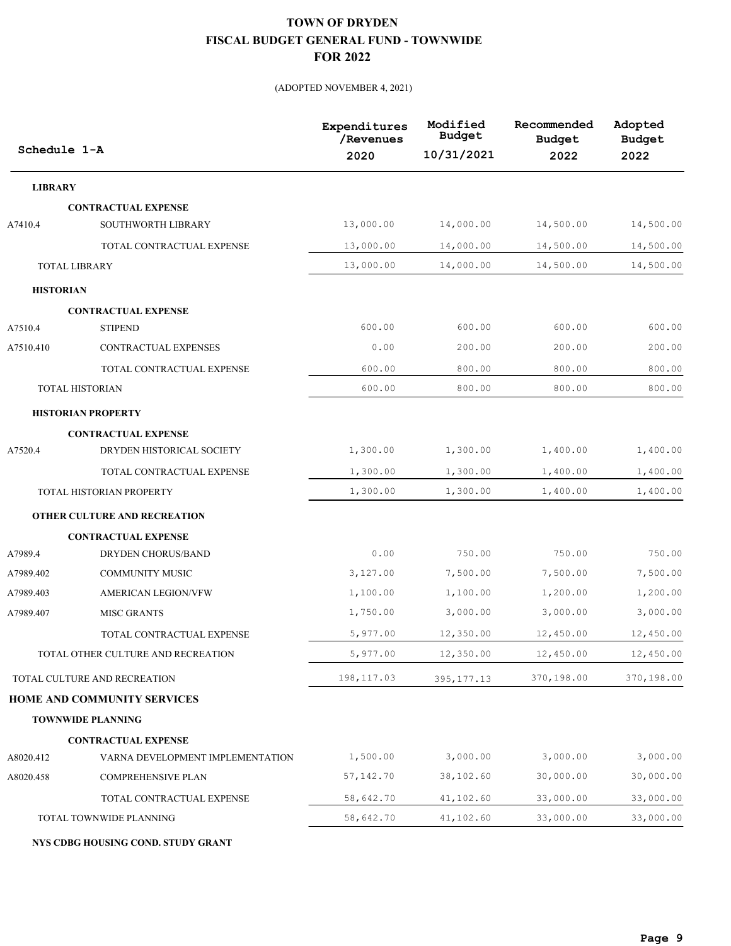#### (ADOPTED NOVEMBER 4, 2021)

| Schedule 1-A     |                                     | Expenditures<br>/Revenues<br>2020 | Modified<br><b>Budget</b><br>10/31/2021 | Recommended<br><b>Budget</b><br>2022 | Adopted<br><b>Budget</b><br>2022 |
|------------------|-------------------------------------|-----------------------------------|-----------------------------------------|--------------------------------------|----------------------------------|
| <b>LIBRARY</b>   |                                     |                                   |                                         |                                      |                                  |
|                  | <b>CONTRACTUAL EXPENSE</b>          |                                   |                                         |                                      |                                  |
| A7410.4          | SOUTHWORTH LIBRARY                  | 13,000.00                         | 14,000.00                               | 14,500.00                            | 14,500.00                        |
|                  | TOTAL CONTRACTUAL EXPENSE           | 13,000.00                         | 14,000.00                               | 14,500.00                            | 14,500.00                        |
|                  | <b>TOTAL LIBRARY</b>                | 13,000.00                         | 14,000.00                               | 14,500.00                            | 14,500.00                        |
| <b>HISTORIAN</b> |                                     |                                   |                                         |                                      |                                  |
|                  | <b>CONTRACTUAL EXPENSE</b>          |                                   |                                         |                                      |                                  |
| A7510.4          | <b>STIPEND</b>                      | 600.00                            | 600.00                                  | 600.00                               | 600.00                           |
| A7510.410        | CONTRACTUAL EXPENSES                | 0.00                              | 200.00                                  | 200.00                               | 200.00                           |
|                  | TOTAL CONTRACTUAL EXPENSE           | 600.00                            | 800.00                                  | 800.00                               | 800.00                           |
|                  | <b>TOTAL HISTORIAN</b>              | 600.00                            | 800.00                                  | 800.00                               | 800.00                           |
|                  | <b>HISTORIAN PROPERTY</b>           |                                   |                                         |                                      |                                  |
|                  | <b>CONTRACTUAL EXPENSE</b>          |                                   |                                         |                                      |                                  |
| A7520.4          | DRYDEN HISTORICAL SOCIETY           | 1,300.00                          | 1,300.00                                | 1,400.00                             | 1,400.00                         |
|                  | TOTAL CONTRACTUAL EXPENSE           | 1,300.00                          | 1,300.00                                | 1,400.00                             | 1,400.00                         |
|                  | TOTAL HISTORIAN PROPERTY            | 1,300.00                          | 1,300.00                                | 1,400.00                             | 1,400.00                         |
|                  | <b>OTHER CULTURE AND RECREATION</b> |                                   |                                         |                                      |                                  |
|                  | <b>CONTRACTUAL EXPENSE</b>          |                                   |                                         |                                      |                                  |
| A7989.4          | <b>DRYDEN CHORUS/BAND</b>           | 0.00                              | 750.00                                  | 750.00                               | 750.00                           |
| A7989.402        | <b>COMMUNITY MUSIC</b>              | 3,127.00                          | 7,500.00                                | 7,500.00                             | 7,500.00                         |
| A7989.403        | <b>AMERICAN LEGION/VFW</b>          | 1,100.00                          | 1,100.00                                | 1,200.00                             | 1,200.00                         |
| A7989.407        | <b>MISC GRANTS</b>                  | 1,750.00                          | 3,000.00                                | 3,000.00                             | 3,000.00                         |
|                  | TOTAL CONTRACTUAL EXPENSE           | 5,977.00                          | 12,350.00                               | 12,450.00                            | 12,450.00                        |
|                  | TOTAL OTHER CULTURE AND RECREATION  | 5,977.00                          | 12,350.00                               | 12,450.00                            | 12,450.00                        |
|                  | TOTAL CULTURE AND RECREATION        | 198, 117.03                       | 395, 177. 13                            | 370,198.00                           | 370,198.00                       |
|                  | HOME AND COMMUNITY SERVICES         |                                   |                                         |                                      |                                  |
|                  | <b>TOWNWIDE PLANNING</b>            |                                   |                                         |                                      |                                  |
|                  | <b>CONTRACTUAL EXPENSE</b>          |                                   |                                         |                                      |                                  |
| A8020.412        | VARNA DEVELOPMENT IMPLEMENTATION    | 1,500.00                          | 3,000.00                                | 3,000.00                             | 3,000.00                         |
| A8020.458        | COMPREHENSIVE PLAN                  | 57,142.70                         | 38,102.60                               | 30,000.00                            | 30,000.00                        |
|                  | TOTAL CONTRACTUAL EXPENSE           | 58,642.70                         | 41,102.60                               | 33,000.00                            | 33,000.00                        |
|                  | TOTAL TOWNWIDE PLANNING             | 58,642.70                         | 41,102.60                               | 33,000.00                            | 33,000.00                        |

**NYS CDBG HOUSING COND. STUDY GRANT**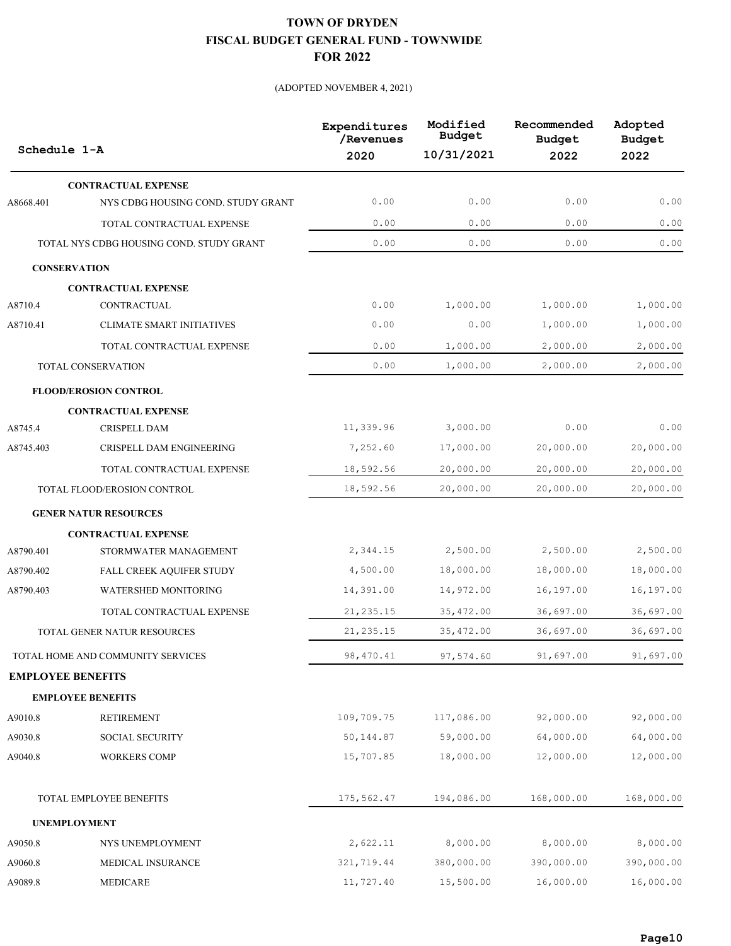| Schedule 1-A             |                                          | Expenditures<br>/Revenues<br>2020 | Modified<br><b>Budget</b><br>10/31/2021 | Recommended<br><b>Budget</b><br>2022 | Adopted<br><b>Budget</b><br>2022 |
|--------------------------|------------------------------------------|-----------------------------------|-----------------------------------------|--------------------------------------|----------------------------------|
|                          | <b>CONTRACTUAL EXPENSE</b>               |                                   |                                         |                                      |                                  |
| A8668.401                | NYS CDBG HOUSING COND. STUDY GRANT       | 0.00                              | 0.00                                    | 0.00                                 | 0.00                             |
|                          | TOTAL CONTRACTUAL EXPENSE                | 0.00                              | 0.00                                    | 0.00                                 | 0.00                             |
|                          | TOTAL NYS CDBG HOUSING COND. STUDY GRANT | 0.00                              | 0.00                                    | 0.00                                 | 0.00                             |
| <b>CONSERVATION</b>      |                                          |                                   |                                         |                                      |                                  |
|                          | <b>CONTRACTUAL EXPENSE</b>               |                                   |                                         |                                      |                                  |
| A8710.4                  | CONTRACTUAL                              | 0.00                              | 1,000.00                                | 1,000.00                             | 1,000.00                         |
| A8710.41                 | <b>CLIMATE SMART INITIATIVES</b>         | 0.00                              | 0.00                                    | 1,000.00                             | 1,000.00                         |
|                          | TOTAL CONTRACTUAL EXPENSE                | 0.00                              | 1,000.00                                | 2,000.00                             | 2,000.00                         |
|                          | TOTAL CONSERVATION                       | 0.00                              | 1,000.00                                | 2,000.00                             | 2,000.00                         |
|                          | <b>FLOOD/EROSION CONTROL</b>             |                                   |                                         |                                      |                                  |
|                          | <b>CONTRACTUAL EXPENSE</b>               |                                   |                                         |                                      |                                  |
| A8745.4                  | CRISPELL DAM                             | 11,339.96                         | 3,000.00                                | 0.00                                 | 0.00                             |
| A8745.403                | CRISPELL DAM ENGINEERING                 | 7,252.60                          | 17,000.00                               | 20,000.00                            | 20,000.00                        |
|                          | TOTAL CONTRACTUAL EXPENSE                | 18,592.56                         | 20,000.00                               | 20,000.00                            | 20,000.00                        |
|                          | TOTAL FLOOD/EROSION CONTROL              | 18,592.56                         | 20,000.00                               | 20,000.00                            | 20,000.00                        |
|                          | <b>GENER NATUR RESOURCES</b>             |                                   |                                         |                                      |                                  |
|                          | <b>CONTRACTUAL EXPENSE</b>               |                                   |                                         |                                      |                                  |
| A8790.401                | STORMWATER MANAGEMENT                    | 2,344.15                          | 2,500.00                                | 2,500.00                             | 2,500.00                         |
| A8790.402                | FALL CREEK AQUIFER STUDY                 | 4,500.00                          | 18,000.00                               | 18,000.00                            | 18,000.00                        |
| A8790.403                | WATERSHED MONITORING                     | 14,391.00                         | 14,972.00                               | 16,197.00                            | 16,197.00                        |
|                          | TOTAL CONTRACTUAL EXPENSE                | 21, 235.15                        | 35, 472.00                              | 36,697.00                            | 36,697.00                        |
|                          | TOTAL GENER NATUR RESOURCES              | 21, 235.15                        | 35, 472.00                              | 36,697.00                            | 36,697.00                        |
|                          | TOTAL HOME AND COMMUNITY SERVICES        | 98, 470.41                        | 97,574.60                               | 91,697.00                            | 91,697.00                        |
| <b>EMPLOYEE BENEFITS</b> |                                          |                                   |                                         |                                      |                                  |
|                          | <b>EMPLOYEE BENEFITS</b>                 |                                   |                                         |                                      |                                  |
| A9010.8                  | <b>RETIREMENT</b>                        | 109,709.75                        | 117,086.00                              | 92,000.00                            | 92,000.00                        |
| A9030.8                  | SOCIAL SECURITY                          | 50,144.87                         | 59,000.00                               | 64,000.00                            | 64,000.00                        |
| A9040.8                  | <b>WORKERS COMP</b>                      | 15,707.85                         | 18,000.00                               | 12,000.00                            | 12,000.00                        |
|                          | TOTAL EMPLOYEE BENEFITS                  | 175,562.47                        | 194,086.00                              | 168,000.00                           | 168,000.00                       |
| <b>UNEMPLOYMENT</b>      |                                          |                                   |                                         |                                      |                                  |
| A9050.8                  | NYS UNEMPLOYMENT                         | 2,622.11                          | 8,000.00                                | 8,000.00                             | 8,000.00                         |
| A9060.8                  | MEDICAL INSURANCE                        | 321,719.44                        | 380,000.00                              | 390,000.00                           | 390,000.00                       |
| A9089.8                  | MEDICARE                                 | 11,727.40                         | 15,500.00                               | 16,000.00                            | 16,000.00                        |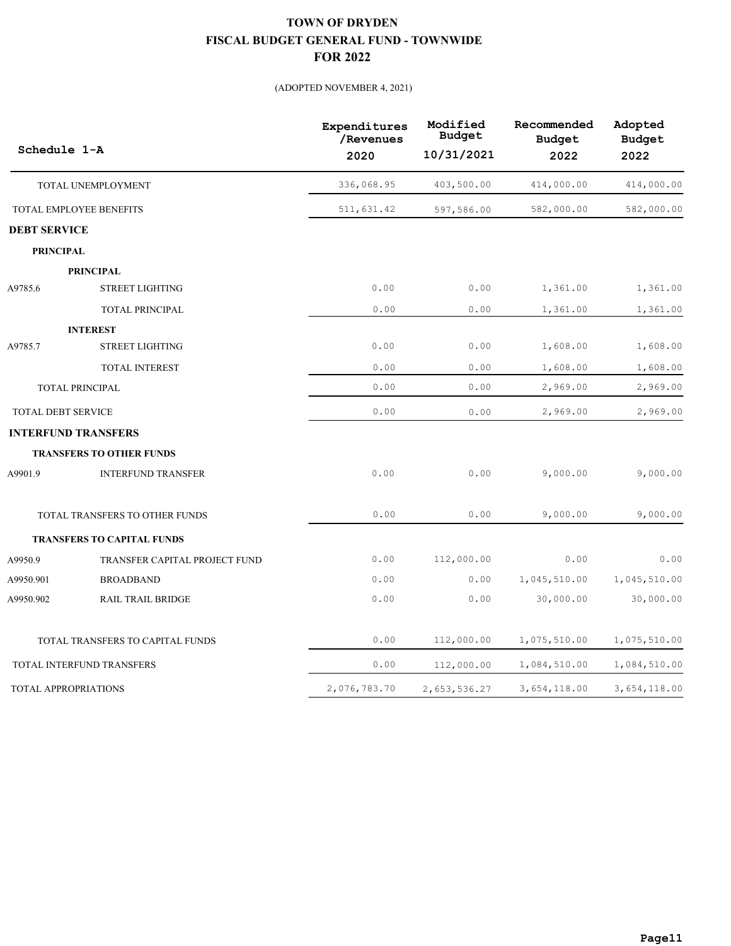|                             |                                   | Expenditures<br>/Revenues | Modified<br><b>Budget</b> | Recommended<br><b>Budget</b> | Adopted<br><b>Budget</b> |
|-----------------------------|-----------------------------------|---------------------------|---------------------------|------------------------------|--------------------------|
| Schedule 1-A                |                                   | 2020                      | 10/31/2021                | 2022                         | 2022                     |
|                             | TOTAL UNEMPLOYMENT                | 336,068.95                | 403,500.00                | 414,000.00                   | 414,000.00               |
|                             | TOTAL EMPLOYEE BENEFITS           | 511,631.42                | 597,586.00                | 582,000.00                   | 582,000.00               |
| <b>DEBT SERVICE</b>         |                                   |                           |                           |                              |                          |
| <b>PRINCIPAL</b>            |                                   |                           |                           |                              |                          |
|                             | <b>PRINCIPAL</b>                  |                           |                           |                              |                          |
| A9785.6                     | <b>STREET LIGHTING</b>            | 0.00                      | 0.00                      | 1,361.00                     | 1,361.00                 |
|                             | TOTAL PRINCIPAL                   | 0.00                      | 0.00                      | 1,361.00                     | 1,361.00                 |
|                             | <b>INTEREST</b>                   |                           |                           |                              |                          |
| A9785.7                     | <b>STREET LIGHTING</b>            | 0.00                      | 0.00                      | 1,608.00                     | 1,608.00                 |
|                             | <b>TOTAL INTEREST</b>             | 0.00                      | 0.00                      | 1,608.00                     | 1,608.00                 |
|                             | <b>TOTAL PRINCIPAL</b>            | 0.00                      | 0.00                      | 2,969.00                     | 2,969.00                 |
| <b>TOTAL DEBT SERVICE</b>   |                                   | 0.00                      | 0.00                      | 2,969.00                     | 2,969.00                 |
|                             | <b>INTERFUND TRANSFERS</b>        |                           |                           |                              |                          |
|                             | <b>TRANSFERS TO OTHER FUNDS</b>   |                           |                           |                              |                          |
| A9901.9                     | <b>INTERFUND TRANSFER</b>         | 0.00                      | 0.00                      | 9,000.00                     | 9,000.00                 |
|                             | TOTAL TRANSFERS TO OTHER FUNDS    | 0.00                      | 0.00                      | 9,000.00                     | 9,000.00                 |
|                             | <b>TRANSFERS TO CAPITAL FUNDS</b> |                           |                           |                              |                          |
| A9950.9                     | TRANSFER CAPITAL PROJECT FUND     | 0.00                      | 112,000.00                | 0.00                         | 0.00                     |
| A9950.901                   | <b>BROADBAND</b>                  | 0.00                      | 0.00                      | 1,045,510.00                 | 1,045,510.00             |
| A9950.902                   | <b>RAIL TRAIL BRIDGE</b>          | 0.00                      | 0.00                      | 30,000.00                    | 30,000.00                |
|                             | TOTAL TRANSFERS TO CAPITAL FUNDS  | 0.00                      | 112,000.00                | 1,075,510.00                 | 1,075,510.00             |
|                             | TOTAL INTERFUND TRANSFERS         | 0.00                      | 112,000.00                | 1,084,510.00                 | 1,084,510.00             |
| <b>TOTAL APPROPRIATIONS</b> |                                   | 2,076,783.70              | 2,653,536.27              | 3,654,118.00                 | 3,654,118.00             |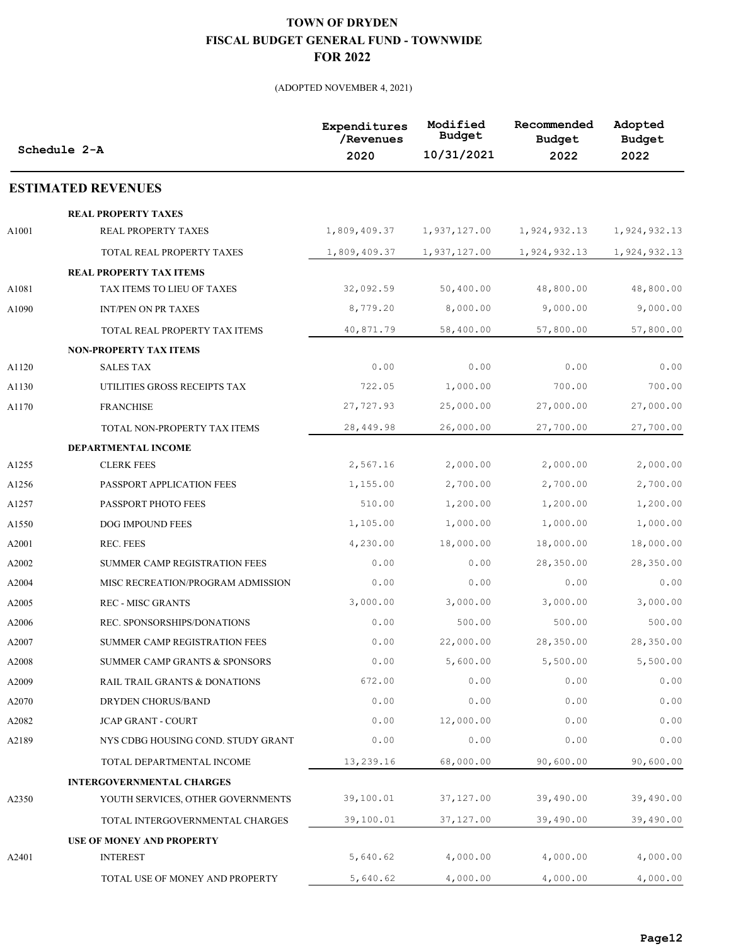|       | Schedule 2-A                             | Expenditures<br>/Revenues<br>2020 | Modified<br><b>Budget</b><br>10/31/2021 | Recommended<br><b>Budget</b><br>2022 | Adopted<br><b>Budget</b><br>2022 |
|-------|------------------------------------------|-----------------------------------|-----------------------------------------|--------------------------------------|----------------------------------|
|       | <b>ESTIMATED REVENUES</b>                |                                   |                                         |                                      |                                  |
|       | <b>REAL PROPERTY TAXES</b>               |                                   |                                         |                                      |                                  |
| A1001 | REAL PROPERTY TAXES                      | 1,809,409.37                      | 1,937,127.00                            | 1,924,932.13                         | 1,924,932.13                     |
|       | TOTAL REAL PROPERTY TAXES                | 1,809,409.37                      | 1,937,127.00                            | 1,924,932.13                         | 1,924,932.13                     |
|       | <b>REAL PROPERTY TAX ITEMS</b>           |                                   |                                         |                                      |                                  |
| A1081 | TAX ITEMS TO LIEU OF TAXES               | 32,092.59                         | 50,400.00                               | 48,800.00                            | 48,800.00                        |
| A1090 | INT/PEN ON PR TAXES                      | 8,779.20                          | 8,000.00                                | 9,000.00                             | 9,000.00                         |
|       | TOTAL REAL PROPERTY TAX ITEMS            | 40,871.79                         | 58,400.00                               | 57,800.00                            | 57,800.00                        |
|       | <b>NON-PROPERTY TAX ITEMS</b>            |                                   |                                         |                                      |                                  |
| A1120 | <b>SALES TAX</b>                         | 0.00                              | 0.00                                    | 0.00                                 | 0.00                             |
| A1130 | UTILITIES GROSS RECEIPTS TAX             | 722.05                            | 1,000.00                                | 700.00                               | 700.00                           |
| A1170 | <b>FRANCHISE</b>                         | 27,727.93                         | 25,000.00                               | 27,000.00                            | 27,000.00                        |
|       | TOTAL NON-PROPERTY TAX ITEMS             | 28,449.98                         | 26,000.00                               | 27,700.00                            | 27,700.00                        |
|       | DEPARTMENTAL INCOME                      |                                   |                                         |                                      |                                  |
| A1255 | <b>CLERK FEES</b>                        | 2,567.16                          | 2,000.00                                | 2,000.00                             | 2,000.00                         |
| A1256 | PASSPORT APPLICATION FEES                | 1,155.00                          | 2,700.00                                | 2,700.00                             | 2,700.00                         |
| A1257 | PASSPORT PHOTO FEES                      | 510.00                            | 1,200.00                                | 1,200.00                             | 1,200.00                         |
| A1550 | DOG IMPOUND FEES                         | 1,105.00                          | 1,000.00                                | 1,000.00                             | 1,000.00                         |
| A2001 | REC. FEES                                | 4,230.00                          | 18,000.00                               | 18,000.00                            | 18,000.00                        |
| A2002 | SUMMER CAMP REGISTRATION FEES            | 0.00                              | 0.00                                    | 28,350.00                            | 28,350.00                        |
| A2004 | MISC RECREATION/PROGRAM ADMISSION        | 0.00                              | 0.00                                    | 0.00                                 | 0.00                             |
| A2005 | <b>REC - MISC GRANTS</b>                 | 3,000.00                          | 3,000.00                                | 3,000.00                             | 3,000.00                         |
| A2006 | REC. SPONSORSHIPS/DONATIONS              | 0.00                              | 500.00                                  | 500.00                               | 500.00                           |
| A2007 | SUMMER CAMP REGISTRATION FEES            | 0.00                              | 22,000.00                               | 28,350.00                            | 28,350.00                        |
| A2008 | <b>SUMMER CAMP GRANTS &amp; SPONSORS</b> | 0.00                              | 5,600.00                                | 5,500.00                             | 5,500.00                         |
| A2009 | RAIL TRAIL GRANTS & DONATIONS            | 672.00                            | 0.00                                    | 0.00                                 | 0.00                             |
| A2070 | DRYDEN CHORUS/BAND                       | 0.00                              | 0.00                                    | 0.00                                 | 0.00                             |
| A2082 | <b>JCAP GRANT - COURT</b>                | 0.00                              | 12,000.00                               | 0.00                                 | 0.00                             |
| A2189 | NYS CDBG HOUSING COND. STUDY GRANT       | 0.00                              | 0.00                                    | 0.00                                 | 0.00                             |
|       | TOTAL DEPARTMENTAL INCOME                | 13,239.16                         | 68,000.00                               | 90,600.00                            | 90,600.00                        |
|       | <b>INTERGOVERNMENTAL CHARGES</b>         |                                   |                                         |                                      |                                  |
| A2350 | YOUTH SERVICES, OTHER GOVERNMENTS        | 39,100.01                         | 37,127.00                               | 39,490.00                            | 39,490.00                        |
|       | TOTAL INTERGOVERNMENTAL CHARGES          | 39,100.01                         | 37,127.00                               | 39,490.00                            | 39,490.00                        |
|       | <b>USE OF MONEY AND PROPERTY</b>         |                                   |                                         |                                      |                                  |
| A2401 | <b>INTEREST</b>                          | 5,640.62                          | 4,000.00                                | 4,000.00                             | 4,000.00                         |
|       | TOTAL USE OF MONEY AND PROPERTY          | 5,640.62                          | 4,000.00                                | 4,000.00                             | 4,000.00                         |